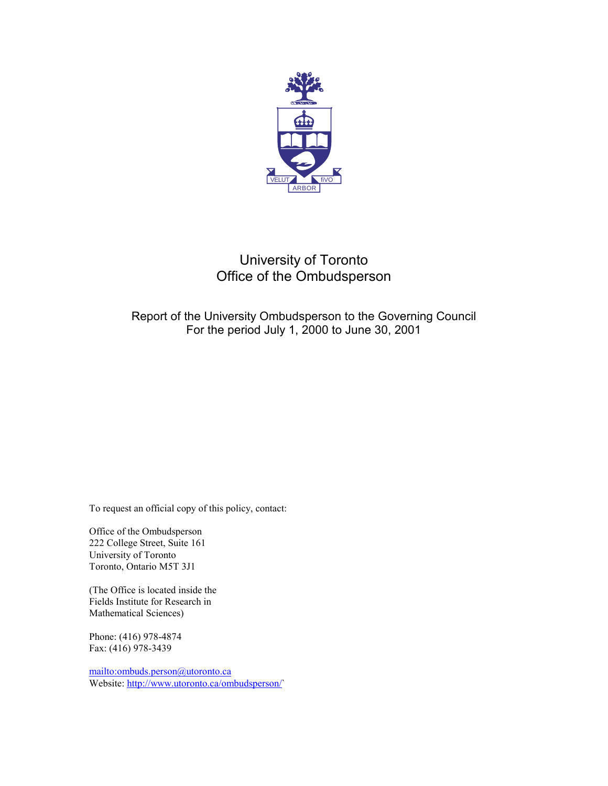

# University of Toronto Office of the Ombudsperson

## Report of the University Ombudsperson to the Governing Council For the period July 1, 2000 to June 30, 2001

To request an official copy of this policy, contact:

Office of the Ombudsperson 222 College Street, Suite 161 University of Toronto Toronto, Ontario M5T 3J1

(The Office is located inside the Fields Institute for Research in Mathematical Sciences)

Phone: (416) 978-4874 Fax: (416) 978-3439

<mailto:ombuds.person@utoronto.ca> Website: [http://www.utoronto.ca/ombudsperson/`](http://www.utoronto.ca/ombudspersonl/)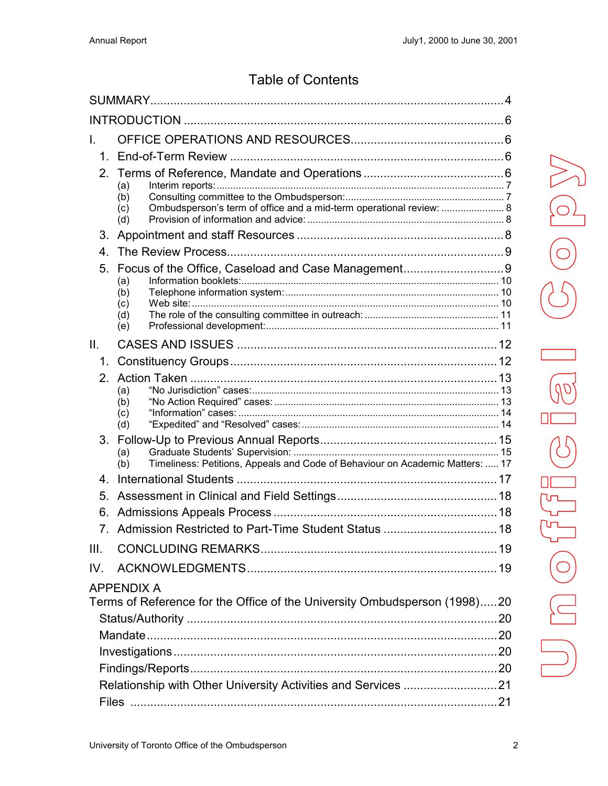# **Table of Contents**

| L.   |                                                                                                 |  |  |  |  |  |  |
|------|-------------------------------------------------------------------------------------------------|--|--|--|--|--|--|
|      |                                                                                                 |  |  |  |  |  |  |
|      | (a)<br>(b)<br>Ombudsperson's term of office and a mid-term operational review:  8<br>(c)<br>(d) |  |  |  |  |  |  |
| 3.   |                                                                                                 |  |  |  |  |  |  |
| 4    |                                                                                                 |  |  |  |  |  |  |
|      | (a)<br>(b)<br>(c)<br>(d)<br>(e)                                                                 |  |  |  |  |  |  |
| II.  |                                                                                                 |  |  |  |  |  |  |
|      |                                                                                                 |  |  |  |  |  |  |
|      | (a)<br>(b)<br>(c)<br>(d)                                                                        |  |  |  |  |  |  |
|      | (a)<br>Timeliness: Petitions, Appeals and Code of Behaviour on Academic Matters:  17<br>(b)     |  |  |  |  |  |  |
|      |                                                                                                 |  |  |  |  |  |  |
| 5.   |                                                                                                 |  |  |  |  |  |  |
|      |                                                                                                 |  |  |  |  |  |  |
|      |                                                                                                 |  |  |  |  |  |  |
| III. |                                                                                                 |  |  |  |  |  |  |
| IV.  |                                                                                                 |  |  |  |  |  |  |
|      | <b>APPENDIX A</b><br>Terms of Reference for the Office of the University Ombudsperson (1998)20  |  |  |  |  |  |  |
|      |                                                                                                 |  |  |  |  |  |  |
|      |                                                                                                 |  |  |  |  |  |  |
|      |                                                                                                 |  |  |  |  |  |  |
|      |                                                                                                 |  |  |  |  |  |  |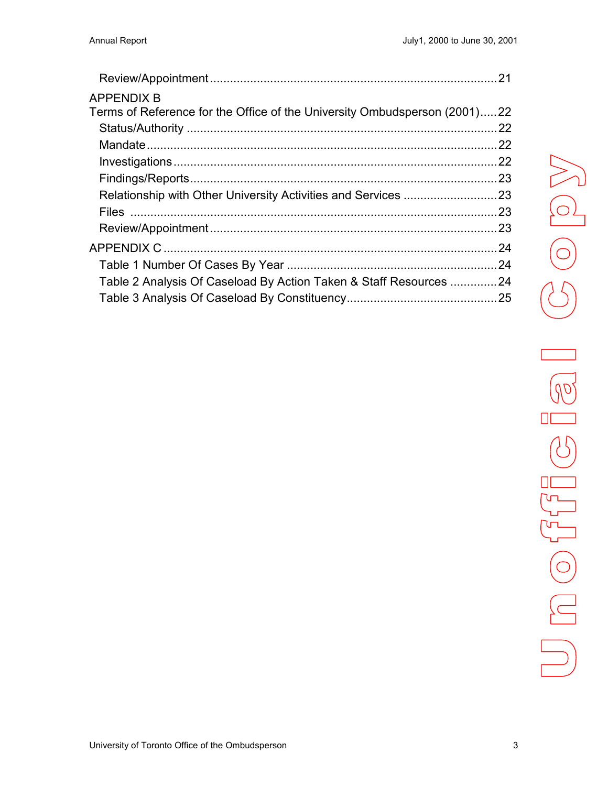|                                                                           | 21  |
|---------------------------------------------------------------------------|-----|
| <b>APPENDIX B</b>                                                         |     |
| Terms of Reference for the Office of the University Ombudsperson (2001)22 |     |
|                                                                           | 22  |
|                                                                           |     |
|                                                                           | .22 |
|                                                                           |     |
|                                                                           |     |
|                                                                           |     |
|                                                                           |     |
|                                                                           |     |
|                                                                           |     |
| Table 2 Analysis Of Caseload By Action Taken & Staff Resources 24         |     |
|                                                                           |     |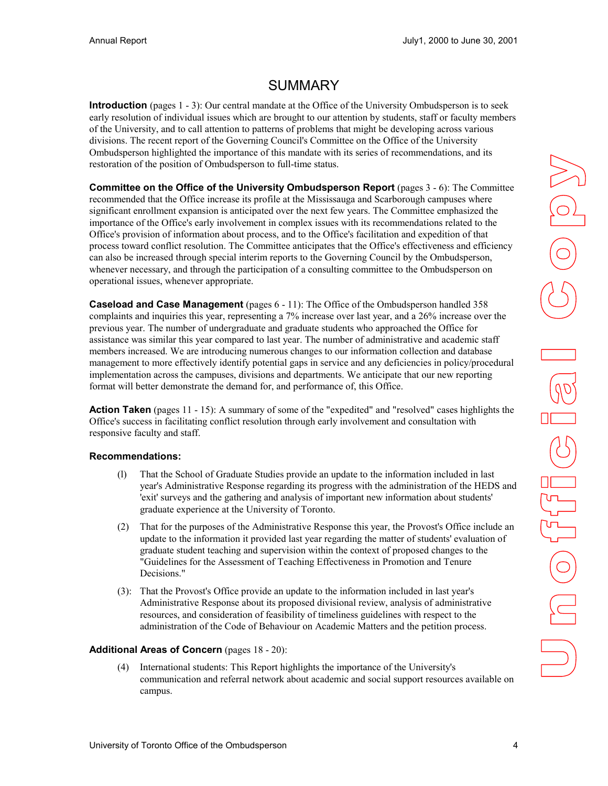# SUMMARY

<span id="page-3-0"></span>**Introduction** (pages 1 - 3): Our central mandate at the Office of the University Ombudsperson is to seek early resolution of individual issues which are brought to our attention by students, staff or faculty members of the University, and to call attention to patterns of problems that might be developing across various divisions. The recent report of the Governing Council's Committee on the Office of the University Ombudsperson highlighted the importance of this mandate with its series of recommendations, and its restoration of the position of Ombudsperson to full-time status.

**Committee on the Office of the University Ombudsperson Report** (pages 3 - 6): The Committee recommended that the Office increase its profile at the Mississauga and Scarborough campuses where significant enrollment expansion is anticipated over the next few years. The Committee emphasized the importance of the Office's early involvement in complex issues with its recommendations related to the Office's provision of information about process, and to the Office's facilitation and expedition of that process toward conflict resolution. The Committee anticipates that the Office's effectiveness and efficiency can also be increased through special interim reports to the Governing Council by the Ombudsperson, whenever necessary, and through the participation of a consulting committee to the Ombudsperson on operational issues, whenever appropriate.

**Caseload and Case Management** (pages 6 - 11): The Office of the Ombudsperson handled 358 complaints and inquiries this year, representing a 7% increase over last year, and a 26% increase over the previous year. The number of undergraduate and graduate students who approached the Office for assistance was similar this year compared to last year. The number of administrative and academic staff members increased. We are introducing numerous changes to our information collection and database management to more effectively identify potential gaps in service and any deficiencies in policy/procedural implementation across the campuses, divisions and departments. We anticipate that our new reporting format will better demonstrate the demand for, and performance of, this Office.

**Action Taken** (pages 11 - 15): A summary of some of the "expedited" and "resolved" cases highlights the Office's success in facilitating conflict resolution through early involvement and consultation with responsive faculty and staff.

#### **Recommendations:**

- (l) That the School of Graduate Studies provide an update to the information included in last year's Administrative Response regarding its progress with the administration of the HEDS and 'exit' surveys and the gathering and analysis of important new information about students' graduate experience at the University of Toronto.
- (2) That for the purposes of the Administrative Response this year, the Provost's Office include an update to the information it provided last year regarding the matter of students' evaluation of graduate student teaching and supervision within the context of proposed changes to the "Guidelines for the Assessment of Teaching Effectiveness in Promotion and Tenure Decisions."
- (3): That the Provost's Office provide an update to the information included in last year's Administrative Response about its proposed divisional review, analysis of administrative resources, and consideration of feasibility of timeliness guidelines with respect to the administration of the Code of Behaviour on Academic Matters and the petition process.

#### **Additional Areas of Concern** (pages 18 - 20):

(4) International students: This Report highlights the importance of the University's communication and referral network about academic and social support resources available on campus.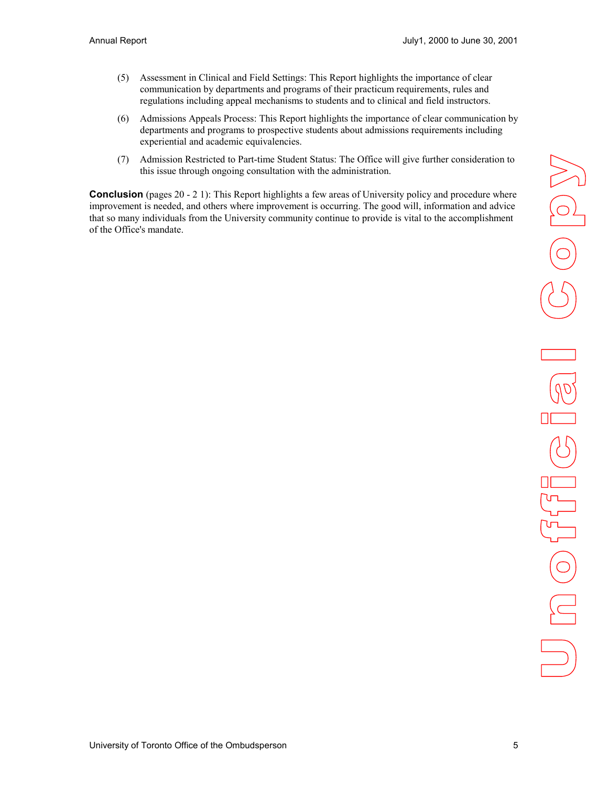- (5) Assessment in Clinical and Field Settings: This Report highlights the importance of clear communication by departments and programs of their practicum requirements, rules and regulations including appeal mechanisms to students and to clinical and field instructors.
- (6) Admissions Appeals Process: This Report highlights the importance of clear communication by departments and programs to prospective students about admissions requirements including experiential and academic equivalencies.
- (7) Admission Restricted to Part-time Student Status: The Office will give further consideration to this issue through ongoing consultation with the administration.

**Conclusion** (pages 20 - 2 1): This Report highlights a few areas of University policy and procedure where improvement is needed, and others where improvement is occurring. The good will, information and advice that so many individuals from the University community continue to provide is vital to the accomplishment of the Office's mandate.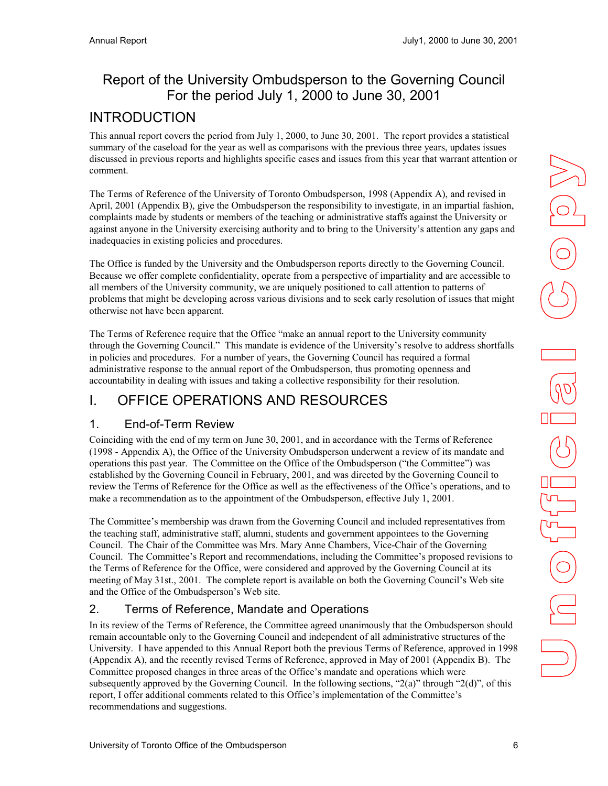# <span id="page-5-0"></span>Report of the University Ombudsperson to the Governing Council For the period July 1, 2000 to June 30, 2001

# INTRODUCTION

This annual report covers the period from July 1, 2000, to June 30, 2001. The report provides a statistical summary of the caseload for the year as well as comparisons with the previous three years, updates issues discussed in previous reports and highlights specific cases and issues from this year that warrant attention or comment.

The Terms of Reference of the University of Toronto Ombudsperson, 1998 (Appendix A), and revised in April, 2001 (Appendix B), give the Ombudsperson the responsibility to investigate, in an impartial fashion, complaints made by students or members of the teaching or administrative staffs against the University or against anyone in the University exercising authority and to bring to the University's attention any gaps and inadequacies in existing policies and procedures.

The Office is funded by the University and the Ombudsperson reports directly to the Governing Council. Because we offer complete confidentiality, operate from a perspective of impartiality and are accessible to all members of the University community, we are uniquely positioned to call attention to patterns of problems that might be developing across various divisions and to seek early resolution of issues that might otherwise not have been apparent.

The Terms of Reference require that the Office "make an annual report to the University community through the Governing Council." This mandate is evidence of the University's resolve to address shortfalls in policies and procedures. For a number of years, the Governing Council has required a formal administrative response to the annual report of the Ombudsperson, thus promoting openness and accountability in dealing with issues and taking a collective responsibility for their resolution.

# I. OFFICE OPERATIONS AND RESOURCES

## 1. End-of-Term Review

Coinciding with the end of my term on June 30, 2001, and in accordance with the Terms of Reference (1998 - Appendix A), the Office of the University Ombudsperson underwent a review of its mandate and operations this past year. The Committee on the Office of the Ombudsperson ("the Committee") was established by the Governing Council in February, 2001, and was directed by the Governing Council to review the Terms of Reference for the Office as well as the effectiveness of the Office's operations, and to make a recommendation as to the appointment of the Ombudsperson, effective July 1, 2001.

The Committee's membership was drawn from the Governing Council and included representatives from the teaching staff, administrative staff, alumni, students and government appointees to the Governing Council. The Chair of the Committee was Mrs. Mary Anne Chambers, Vice-Chair of the Governing Council. The Committee's Report and recommendations, including the Committee's proposed revisions to the Terms of Reference for the Office, were considered and approved by the Governing Council at its meeting of May 31st., 2001. The complete report is available on both the Governing Council's Web site and the Office of the Ombudsperson's Web site.

# 2. Terms of Reference, Mandate and Operations

In its review of the Terms of Reference, the Committee agreed unanimously that the Ombudsperson should remain accountable only to the Governing Council and independent of all administrative structures of the University. I have appended to this Annual Report both the previous Terms of Reference, approved in 1998 (Appendix A), and the recently revised Terms of Reference, approved in May of 2001 (Appendix B). The Committee proposed changes in three areas of the Office's mandate and operations which were subsequently approved by the Governing Council. In the following sections, " $2(a)$ " through " $2(d)$ ", of this report, I offer additional comments related to this Office's implementation of the Committee's recommendations and suggestions.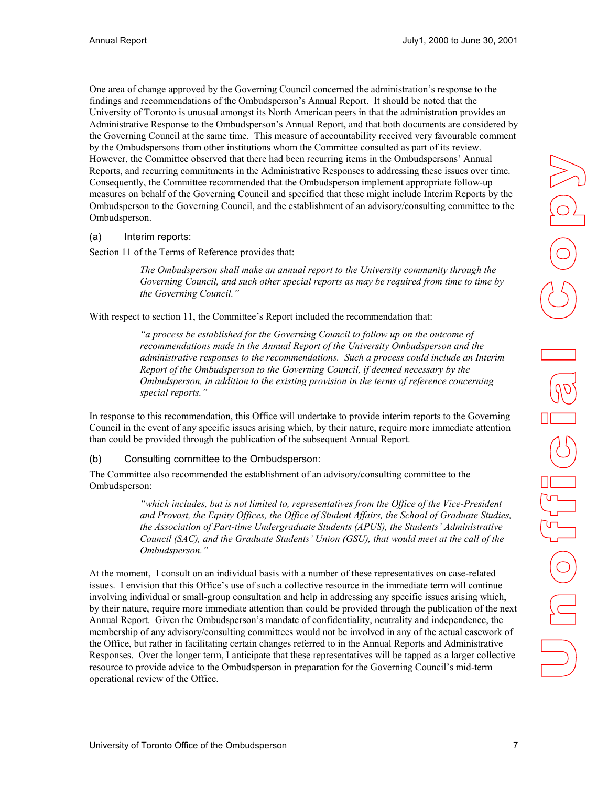<span id="page-6-0"></span>One area of change approved by the Governing Council concerned the administration's response to the findings and recommendations of the Ombudsperson's Annual Report. It should be noted that the University of Toronto is unusual amongst its North American peers in that the administration provides an Administrative Response to the Ombudsperson's Annual Report, and that both documents are considered by the Governing Council at the same time. This measure of accountability received very favourable comment by the Ombudspersons from other institutions whom the Committee consulted as part of its review. However, the Committee observed that there had been recurring items in the Ombudspersons' Annual Reports, and recurring commitments in the Administrative Responses to addressing these issues over time. Consequently, the Committee recommended that the Ombudsperson implement appropriate follow-up measures on behalf of the Governing Council and specified that these might include Interim Reports by the Ombudsperson to the Governing Council, and the establishment of an advisory/consulting committee to the Ombudsperson.

#### (a) Interim reports:

Section 11 of the Terms of Reference provides that:

 *The Ombudsperson shall make an annual report to the University community through the Governing Council, and such other special reports as may be required from time to time by the Governing Council."* 

With respect to section 11, the Committee's Report included the recommendation that:

 *"a process be established for the Governing Council to follow up on the outcome of recommendations made in the Annual Report of the University Ombudsperson and the administrative responses to the recommendations. Such a process could include an Interim Report of the Ombudsperson to the Governing Council, if deemed necessary by the Ombudsperson, in addition to the existing provision in the terms of reference concerning special reports."* 

In response to this recommendation, this Office will undertake to provide interim reports to the Governing Council in the event of any specific issues arising which, by their nature, require more immediate attention than could be provided through the publication of the subsequent Annual Report.

(b) Consulting committee to the Ombudsperson:

The Committee also recommended the establishment of an advisory/consulting committee to the Ombudsperson:

> *"which includes, but is not limited to, representatives from the Office of the Vice-President and Provost, the Equity Offices, the Office of Student Affairs, the School of Graduate Studies, the Association of Part-time Undergraduate Students (APUS), the Students' Administrative Council (SAC), and the Graduate Students' Union (GSU), that would meet at the call of the Ombudsperson."*

At the moment, I consult on an individual basis with a number of these representatives on case-related issues. I envision that this Office's use of such a collective resource in the immediate term will continue involving individual or small-group consultation and help in addressing any specific issues arising which, by their nature, require more immediate attention than could be provided through the publication of the next Annual Report. Given the Ombudsperson's mandate of confidentiality, neutrality and independence, the membership of any advisory/consulting committees would not be involved in any of the actual casework of the Office, but rather in facilitating certain changes referred to in the Annual Reports and Administrative Responses. Over the longer term, I anticipate that these representatives will be tapped as a larger collective resource to provide advice to the Ombudsperson in preparation for the Governing Council's mid-term operational review of the Office.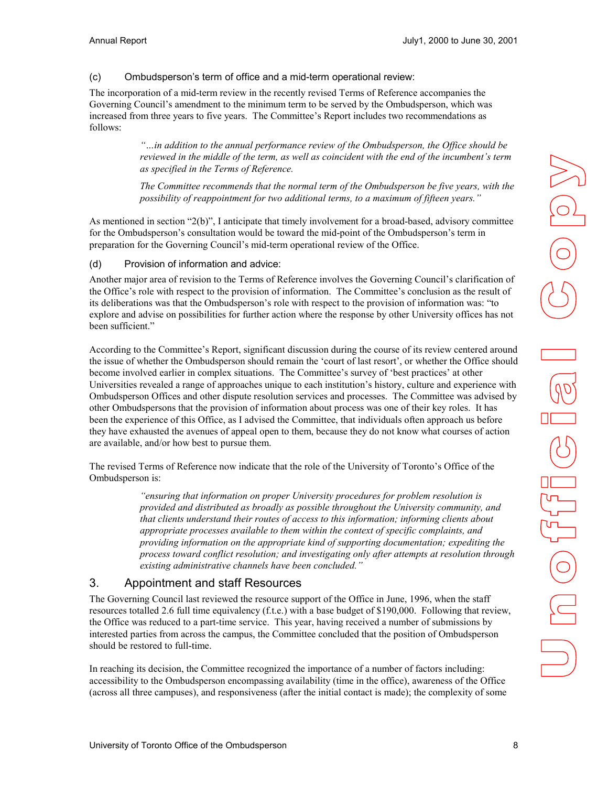#### <span id="page-7-0"></span>(c) Ombudsperson's term of office and a mid-term operational review:

The incorporation of a mid-term review in the recently revised Terms of Reference accompanies the Governing Council's amendment to the minimum term to be served by the Ombudsperson, which was increased from three years to five years. The Committee's Report includes two recommendations as follows:

> *"…in addition to the annual performance review of the Ombudsperson, the Office should be reviewed in the middle of the term, as well as coincident with the end of the incumbent's term as specified in the Terms of Reference.*

> *The Committee recommends that the normal term of the Ombudsperson be five years, with the possibility of reappointment for two additional terms, to a maximum of fifteen years."*

As mentioned in section "2(b)", I anticipate that timely involvement for a broad-based, advisory committee for the Ombudsperson's consultation would be toward the mid-point of the Ombudsperson's term in preparation for the Governing Council's mid-term operational review of the Office.

#### (d) Provision of information and advice:

Another major area of revision to the Terms of Reference involves the Governing Council's clarification of the Office's role with respect to the provision of information. The Committee's conclusion as the result of its deliberations was that the Ombudsperson's role with respect to the provision of information was: "to explore and advise on possibilities for further action where the response by other University offices has not been sufficient."

According to the Committee's Report, significant discussion during the course of its review centered around the issue of whether the Ombudsperson should remain the 'court of last resort', or whether the Office should become involved earlier in complex situations. The Committee's survey of 'best practices' at other Universities revealed a range of approaches unique to each institution's history, culture and experience with Ombudsperson Offices and other dispute resolution services and processes. The Committee was advised by other Ombudspersons that the provision of information about process was one of their key roles. It has been the experience of this Office, as I advised the Committee, that individuals often approach us before they have exhausted the avenues of appeal open to them, because they do not know what courses of action are available, and/or how best to pursue them.

The revised Terms of Reference now indicate that the role of the University of Toronto's Office of the Ombudsperson is:

> *"ensuring that information on proper University procedures for problem resolution is provided and distributed as broadly as possible throughout the University community, and that clients understand their routes of access to this information; informing clients about appropriate processes available to them within the context of specific complaints, and providing information on the appropriate kind of supporting documentation; expediting the process toward conflict resolution; and investigating only after attempts at resolution through existing administrative channels have been concluded."*

#### 3. Appointment and staff Resources

The Governing Council last reviewed the resource support of the Office in June, 1996, when the staff resources totalled 2.6 full time equivalency (f.t.e.) with a base budget of \$190,000. Following that review, the Office was reduced to a part-time service. This year, having received a number of submissions by interested parties from across the campus, the Committee concluded that the position of Ombudsperson should be restored to full-time.

In reaching its decision, the Committee recognized the importance of a number of factors including: accessibility to the Ombudsperson encompassing availability (time in the office), awareness of the Office (across all three campuses), and responsiveness (after the initial contact is made); the complexity of some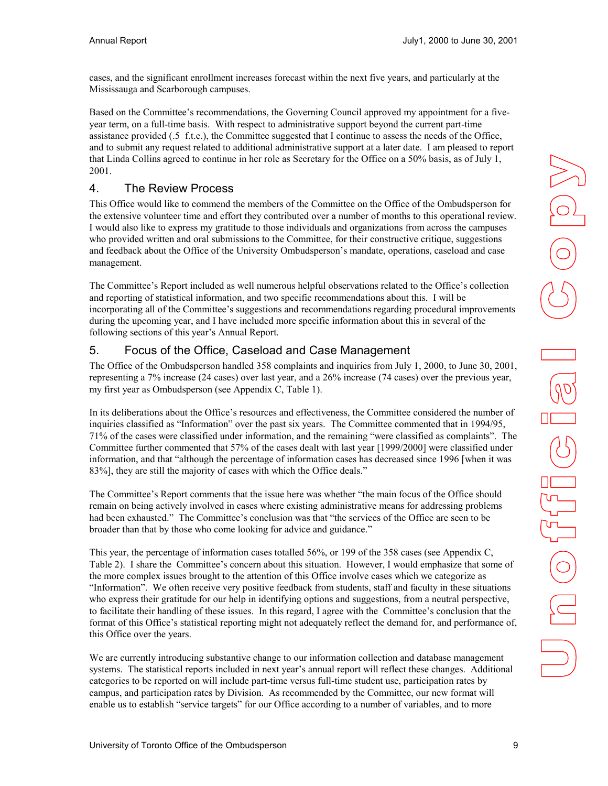<span id="page-8-0"></span>cases, and the significant enrollment increases forecast within the next five years, and particularly at the Mississauga and Scarborough campuses.

Based on the Committee's recommendations, the Governing Council approved my appointment for a fiveyear term, on a full-time basis. With respect to administrative support beyond the current part-time assistance provided (.5 f.t.e.), the Committee suggested that I continue to assess the needs of the Office, and to submit any request related to additional administrative support at a later date. I am pleased to report that Linda Collins agreed to continue in her role as Secretary for the Office on a 50% basis, as of July 1, 2001.

## 4. The Review Process

This Office would like to commend the members of the Committee on the Office of the Ombudsperson for the extensive volunteer time and effort they contributed over a number of months to this operational review. I would also like to express my gratitude to those individuals and organizations from across the campuses who provided written and oral submissions to the Committee, for their constructive critique, suggestions and feedback about the Office of the University Ombudsperson's mandate, operations, caseload and case management.

The Committee's Report included as well numerous helpful observations related to the Office's collection and reporting of statistical information, and two specific recommendations about this. I will be incorporating all of the Committee's suggestions and recommendations regarding procedural improvements during the upcoming year, and I have included more specific information about this in several of the following sections of this year's Annual Report.

## 5. Focus of the Office, Caseload and Case Management

The Office of the Ombudsperson handled 358 complaints and inquiries from July 1, 2000, to June 30, 2001, representing a 7% increase (24 cases) over last year, and a 26% increase (74 cases) over the previous year, my first year as Ombudsperson (see Appendix C, Table 1).

In its deliberations about the Office's resources and effectiveness, the Committee considered the number of inquiries classified as "Information" over the past six years. The Committee commented that in 1994/95, 71% of the cases were classified under information, and the remaining "were classified as complaints". The Committee further commented that 57% of the cases dealt with last year [1999/2000] were classified under information, and that "although the percentage of information cases has decreased since 1996 [when it was 83%], they are still the majority of cases with which the Office deals."

The Committee's Report comments that the issue here was whether "the main focus of the Office should remain on being actively involved in cases where existing administrative means for addressing problems had been exhausted." The Committee's conclusion was that "the services of the Office are seen to be broader than that by those who come looking for advice and guidance."

This year, the percentage of information cases totalled 56%, or 199 of the 358 cases (see Appendix C, Table 2). I share the Committee's concern about this situation. However, I would emphasize that some of the more complex issues brought to the attention of this Office involve cases which we categorize as "Information". We often receive very positive feedback from students, staff and faculty in these situations who express their gratitude for our help in identifying options and suggestions, from a neutral perspective, to facilitate their handling of these issues. In this regard, I agree with the Committee's conclusion that the format of this Office's statistical reporting might not adequately reflect the demand for, and performance of, this Office over the years.

We are currently introducing substantive change to our information collection and database management systems. The statistical reports included in next year's annual report will reflect these changes. Additional categories to be reported on will include part-time versus full-time student use, participation rates by campus, and participation rates by Division. As recommended by the Committee, our new format will enable us to establish "service targets" for our Office according to a number of variables, and to more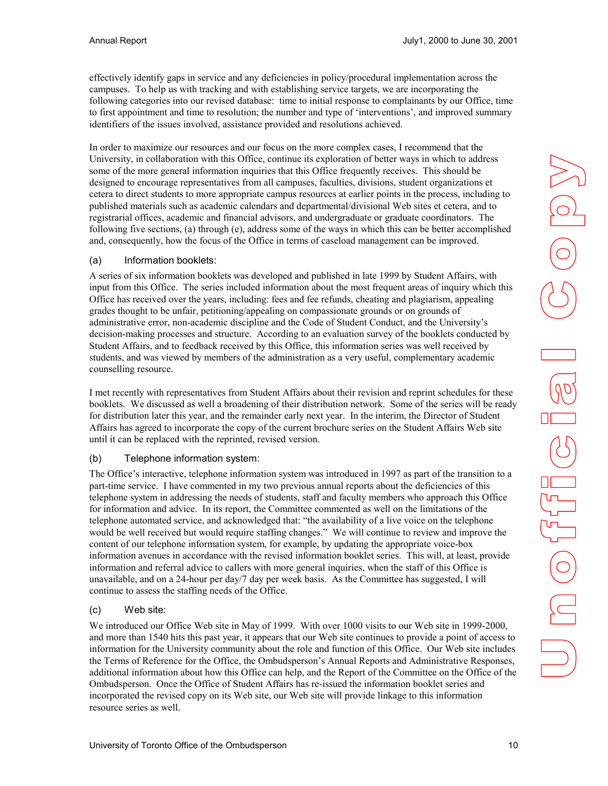<span id="page-9-0"></span>effectively identify gaps in service and any deficiencies in policy/procedural implementation across the campuses. To help us with tracking and with establishing service targets, we are incorporating the following categories into our revised database: time to initial response to complainants by our Office, time to first appointment and time to resolution; the number and type of 'interventions', and improved summary identifiers of the issues involved, assistance provided and resolutions achieved.

In order to maximize our resources and our focus on the more complex cases, I recommend that the University, in collaboration with this Office, continue its exploration of better ways in which to address some of the more general information inquiries that this Office frequently receives. This should be designed to encourage representatives from all campuses, faculties, divisions, student organizations et cetera to direct students to more appropriate campus resources at earlier points in the process, including to published materials such as academic calendars and departmental/divisional Web sites et cetera, and to registrarial offices, academic and financial advisors, and undergraduate or graduate coordinators. The following five sections, (a) through (e), address some of the ways in which this can be better accomplished and, consequently, how the focus of the Office in terms of caseload management can be improved.

#### (a) Information booklets:

A series of six information booklets was developed and published in late 1999 by Student Affairs, with input from this Office. The series included information about the most frequent areas of inquiry which this Office has received over the years, including: fees and fee refunds, cheating and plagiarism, appealing grades thought to be unfair, petitioning/appealing on compassionate grounds or on grounds of administrative error, non-academic discipline and the Code of Student Conduct, and the University's decision-making processes and structure. According to an evaluation survey of the booklets conducted by Student Affairs, and to feedback received by this Office, this information series was well received by students, and was viewed by members of the administration as a very useful, complementary academic counselling resource.

I met recently with representatives from Student Affairs about their revision and reprint schedules for these booklets. We discussed as well a broadening of their distribution network. Some of the series will be ready for distribution later this year, and the remainder early next year. In the interim, the Director of Student Affairs has agreed to incorporate the copy of the current brochure series on the Student Affairs Web site until it can be replaced with the reprinted, revised version.

#### (b) Telephone information system:

The Office's interactive, telephone information system was introduced in 1997 as part of the transition to a part-time service. I have commented in my two previous annual reports about the deficiencies of this telephone system in addressing the needs of students, staff and faculty members who approach this Office for information and advice. In its report, the Committee commented as well on the limitations of the telephone automated service, and acknowledged that: "the availability of a live voice on the telephone would be well received but would require staffing changes." We will continue to review and improve the content of our telephone information system, for example, by updating the appropriate voice-box information avenues in accordance with the revised information booklet series. This will, at least, provide information and referral advice to callers with more general inquiries, when the staff of this Office is unavailable, and on a 24-hour per day/7 day per week basis. As the Committee has suggested, I will continue to assess the staffing needs of the Office.

#### (c) Web site:

We introduced our Office Web site in May of 1999. With over 1000 visits to our Web site in 1999-2000, and more than 1540 hits this past year, it appears that our Web site continues to provide a point of access to information for the University community about the role and function of this Office. Our Web site includes the Terms of Reference for the Office, the Ombudsperson's Annual Reports and Administrative Responses, additional information about how this Office can help, and the Report of the Committee on the Office of the Ombudsperson. Once the Office of Student Affairs has re-issued the information booklet series and incorporated the revised copy on its Web site, our Web site will provide linkage to this information resource series as well.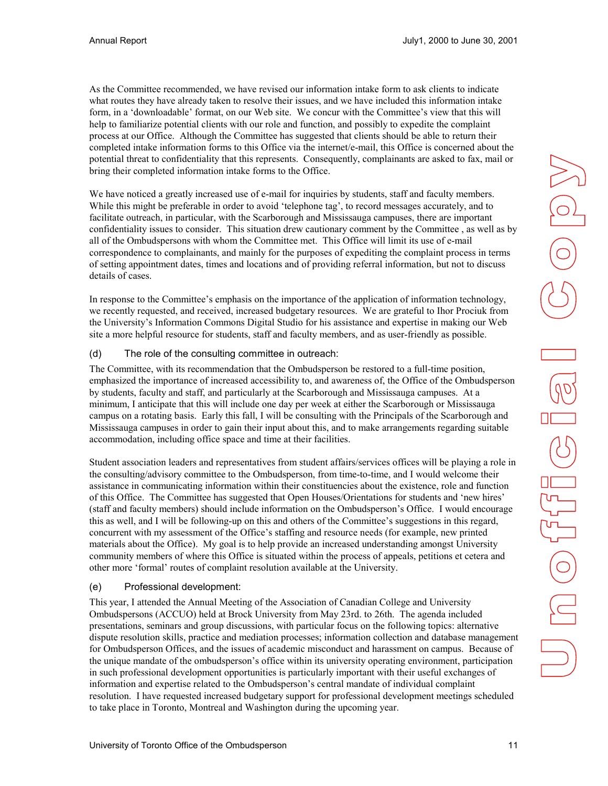<span id="page-10-0"></span>As the Committee recommended, we have revised our information intake form to ask clients to indicate what routes they have already taken to resolve their issues, and we have included this information intake form, in a 'downloadable' format, on our Web site. We concur with the Committee's view that this will help to familiarize potential clients with our role and function, and possibly to expedite the complaint process at our Office. Although the Committee has suggested that clients should be able to return their completed intake information forms to this Office via the internet/e-mail, this Office is concerned about the potential threat to confidentiality that this represents. Consequently, complainants are asked to fax, mail or bring their completed information intake forms to the Office.

We have noticed a greatly increased use of e-mail for inquiries by students, staff and faculty members. While this might be preferable in order to avoid 'telephone tag', to record messages accurately, and to facilitate outreach, in particular, with the Scarborough and Mississauga campuses, there are important confidentiality issues to consider. This situation drew cautionary comment by the Committee , as well as by all of the Ombudspersons with whom the Committee met. This Office will limit its use of e-mail correspondence to complainants, and mainly for the purposes of expediting the complaint process in terms of setting appointment dates, times and locations and of providing referral information, but not to discuss details of cases.

In response to the Committee's emphasis on the importance of the application of information technology, we recently requested, and received, increased budgetary resources. We are grateful to Ihor Prociuk from the University's Information Commons Digital Studio for his assistance and expertise in making our Web site a more helpful resource for students, staff and faculty members, and as user-friendly as possible.

#### (d) The role of the consulting committee in outreach:

The Committee, with its recommendation that the Ombudsperson be restored to a full-time position, emphasized the importance of increased accessibility to, and awareness of, the Office of the Ombudsperson by students, faculty and staff, and particularly at the Scarborough and Mississauga campuses. At a minimum, I anticipate that this will include one day per week at either the Scarborough or Mississauga campus on a rotating basis. Early this fall, I will be consulting with the Principals of the Scarborough and Mississauga campuses in order to gain their input about this, and to make arrangements regarding suitable accommodation, including office space and time at their facilities.

Student association leaders and representatives from student affairs/services offices will be playing a role in the consulting/advisory committee to the Ombudsperson, from time-to-time, and I would welcome their assistance in communicating information within their constituencies about the existence, role and function of this Office. The Committee has suggested that Open Houses/Orientations for students and 'new hires' (staff and faculty members) should include information on the Ombudsperson's Office. I would encourage this as well, and I will be following-up on this and others of the Committee's suggestions in this regard, concurrent with my assessment of the Office's staffing and resource needs (for example, new printed materials about the Office). My goal is to help provide an increased understanding amongst University community members of where this Office is situated within the process of appeals, petitions et cetera and other more 'formal' routes of complaint resolution available at the University.

#### (e) Professional development:

This year, I attended the Annual Meeting of the Association of Canadian College and University Ombudspersons (ACCUO) held at Brock University from May 23rd. to 26th. The agenda included presentations, seminars and group discussions, with particular focus on the following topics: alternative dispute resolution skills, practice and mediation processes; information collection and database management for Ombudsperson Offices, and the issues of academic misconduct and harassment on campus. Because of the unique mandate of the ombudsperson's office within its university operating environment, participation in such professional development opportunities is particularly important with their useful exchanges of information and expertise related to the Ombudsperson's central mandate of individual complaint resolution. I have requested increased budgetary support for professional development meetings scheduled to take place in Toronto, Montreal and Washington during the upcoming year.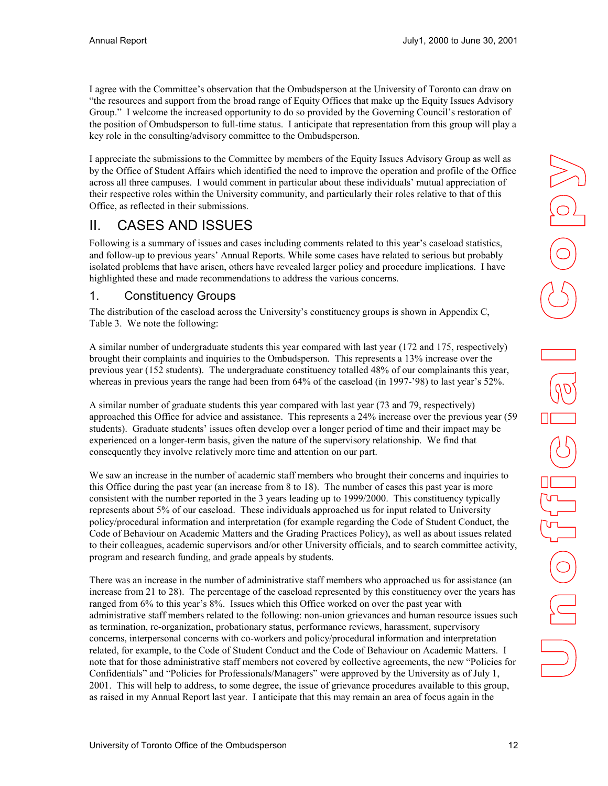<span id="page-11-0"></span>I agree with the Committee's observation that the Ombudsperson at the University of Toronto can draw on "the resources and support from the broad range of Equity Offices that make up the Equity Issues Advisory Group." I welcome the increased opportunity to do so provided by the Governing Council's restoration of the position of Ombudsperson to full-time status. I anticipate that representation from this group will play a key role in the consulting/advisory committee to the Ombudsperson.

I appreciate the submissions to the Committee by members of the Equity Issues Advisory Group as well as by the Office of Student Affairs which identified the need to improve the operation and profile of the Office across all three campuses. I would comment in particular about these individuals' mutual appreciation of their respective roles within the University community, and particularly their roles relative to that of this Office, as reflected in their submissions.

# II. CASES AND ISSUES

Following is a summary of issues and cases including comments related to this year's caseload statistics, and follow-up to previous years' Annual Reports. While some cases have related to serious but probably isolated problems that have arisen, others have revealed larger policy and procedure implications. I have highlighted these and made recommendations to address the various concerns.

#### 1. Constituency Groups

The distribution of the caseload across the University's constituency groups is shown in Appendix C, Table 3. We note the following:

A similar number of undergraduate students this year compared with last year (172 and 175, respectively) brought their complaints and inquiries to the Ombudsperson. This represents a 13% increase over the previous year (152 students). The undergraduate constituency totalled 48% of our complainants this year, whereas in previous years the range had been from 64% of the caseload (in 1997-'98) to last year's 52%.

A similar number of graduate students this year compared with last year (73 and 79, respectively) approached this Office for advice and assistance. This represents a 24% increase over the previous year (59 students). Graduate students' issues often develop over a longer period of time and their impact may be experienced on a longer-term basis, given the nature of the supervisory relationship. We find that consequently they involve relatively more time and attention on our part.

We saw an increase in the number of academic staff members who brought their concerns and inquiries to this Office during the past year (an increase from 8 to 18). The number of cases this past year is more consistent with the number reported in the 3 years leading up to 1999/2000. This constituency typically represents about 5% of our caseload. These individuals approached us for input related to University policy/procedural information and interpretation (for example regarding the Code of Student Conduct, the Code of Behaviour on Academic Matters and the Grading Practices Policy), as well as about issues related to their colleagues, academic supervisors and/or other University officials, and to search committee activity, program and research funding, and grade appeals by students.

There was an increase in the number of administrative staff members who approached us for assistance (an increase from 21 to 28). The percentage of the caseload represented by this constituency over the years has ranged from 6% to this year's 8%. Issues which this Office worked on over the past year with administrative staff members related to the following: non-union grievances and human resource issues such as termination, re-organization, probationary status, performance reviews, harassment, supervisory concerns, interpersonal concerns with co-workers and policy/procedural information and interpretation related, for example, to the Code of Student Conduct and the Code of Behaviour on Academic Matters. I note that for those administrative staff members not covered by collective agreements, the new "Policies for Confidentials" and "Policies for Professionals/Managers" were approved by the University as of July 1, 2001. This will help to address, to some degree, the issue of grievance procedures available to this group, as raised in my Annual Report last year. I anticipate that this may remain an area of focus again in the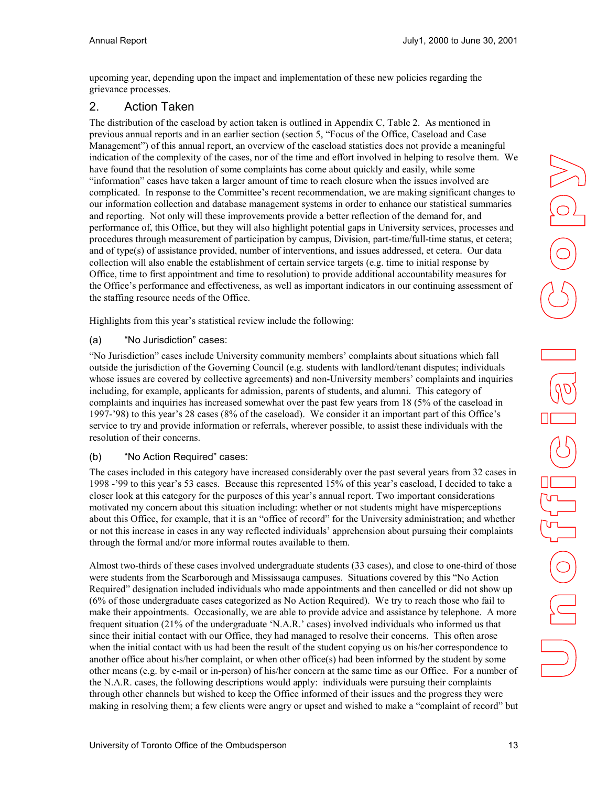<span id="page-12-0"></span>upcoming year, depending upon the impact and implementation of these new policies regarding the grievance processes.

## 2. Action Taken

The distribution of the caseload by action taken is outlined in Appendix C, Table 2. As mentioned in previous annual reports and in an earlier section (section 5, "Focus of the Office, Caseload and Case Management") of this annual report, an overview of the caseload statistics does not provide a meaningful indication of the complexity of the cases, nor of the time and effort involved in helping to resolve them. We have found that the resolution of some complaints has come about quickly and easily, while some "information" cases have taken a larger amount of time to reach closure when the issues involved are complicated. In response to the Committee's recent recommendation, we are making significant changes to our information collection and database management systems in order to enhance our statistical summaries and reporting. Not only will these improvements provide a better reflection of the demand for, and performance of, this Office, but they will also highlight potential gaps in University services, processes and procedures through measurement of participation by campus, Division, part-time/full-time status, et cetera; and of type(s) of assistance provided, number of interventions, and issues addressed, et cetera. Our data collection will also enable the establishment of certain service targets (e.g. time to initial response by Office, time to first appointment and time to resolution) to provide additional accountability measures for the Office's performance and effectiveness, as well as important indicators in our continuing assessment of the staffing resource needs of the Office.

Highlights from this year's statistical review include the following:

#### (a) "No Jurisdiction" cases:

"No Jurisdiction" cases include University community members' complaints about situations which fall outside the jurisdiction of the Governing Council (e.g. students with landlord/tenant disputes; individuals whose issues are covered by collective agreements) and non-University members' complaints and inquiries including, for example, applicants for admission, parents of students, and alumni. This category of complaints and inquiries has increased somewhat over the past few years from 18 (5% of the caseload in 1997-'98) to this year's 28 cases (8% of the caseload). We consider it an important part of this Office's service to try and provide information or referrals, wherever possible, to assist these individuals with the resolution of their concerns.

#### (b) "No Action Required" cases:

The cases included in this category have increased considerably over the past several years from 32 cases in 1998 -'99 to this year's 53 cases. Because this represented 15% of this year's caseload, I decided to take a closer look at this category for the purposes of this year's annual report. Two important considerations motivated my concern about this situation including: whether or not students might have misperceptions about this Office, for example, that it is an "office of record" for the University administration; and whether or not this increase in cases in any way reflected individuals' apprehension about pursuing their complaints through the formal and/or more informal routes available to them.

Almost two-thirds of these cases involved undergraduate students (33 cases), and close to one-third of those were students from the Scarborough and Mississauga campuses. Situations covered by this "No Action Required" designation included individuals who made appointments and then cancelled or did not show up (6% of those undergraduate cases categorized as No Action Required). We try to reach those who fail to make their appointments. Occasionally, we are able to provide advice and assistance by telephone. A more frequent situation (21% of the undergraduate 'N.A.R.' cases) involved individuals who informed us that since their initial contact with our Office, they had managed to resolve their concerns. This often arose when the initial contact with us had been the result of the student copying us on his/her correspondence to another office about his/her complaint, or when other office(s) had been informed by the student by some other means (e.g. by e-mail or in-person) of his/her concern at the same time as our Office. For a number of the N.A.R. cases, the following descriptions would apply: individuals were pursuing their complaints through other channels but wished to keep the Office informed of their issues and the progress they were making in resolving them; a few clients were angry or upset and wished to make a "complaint of record" but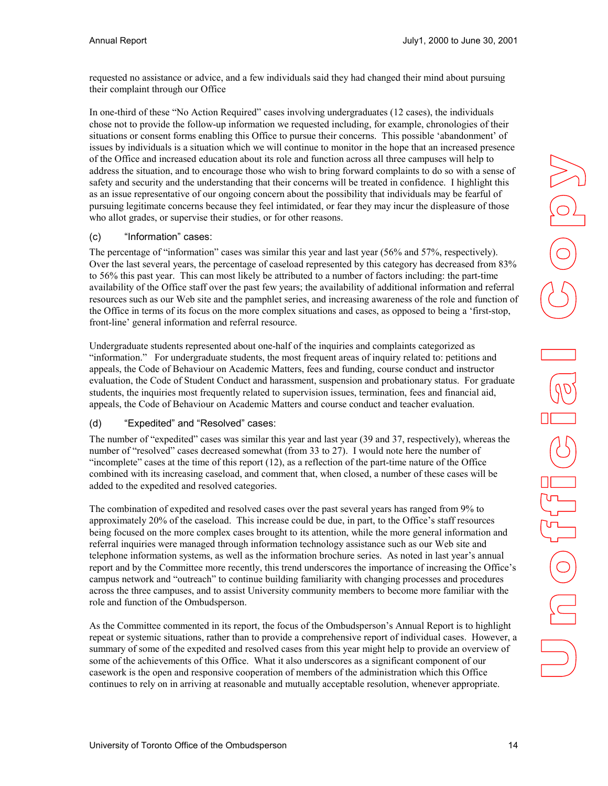<span id="page-13-0"></span>requested no assistance or advice, and a few individuals said they had changed their mind about pursuing their complaint through our Office

In one-third of these "No Action Required" cases involving undergraduates (12 cases), the individuals chose not to provide the follow-up information we requested including, for example, chronologies of their situations or consent forms enabling this Office to pursue their concerns. This possible 'abandonment' of issues by individuals is a situation which we will continue to monitor in the hope that an increased presence of the Office and increased education about its role and function across all three campuses will help to address the situation, and to encourage those who wish to bring forward complaints to do so with a sense of safety and security and the understanding that their concerns will be treated in confidence. I highlight this as an issue representative of our ongoing concern about the possibility that individuals may be fearful of pursuing legitimate concerns because they feel intimidated, or fear they may incur the displeasure of those who allot grades, or supervise their studies, or for other reasons.

#### (c) "Information" cases:

The percentage of "information" cases was similar this year and last year (56% and 57%, respectively). Over the last several years, the percentage of caseload represented by this category has decreased from 83% to 56% this past year. This can most likely be attributed to a number of factors including: the part-time availability of the Office staff over the past few years; the availability of additional information and referral resources such as our Web site and the pamphlet series, and increasing awareness of the role and function of the Office in terms of its focus on the more complex situations and cases, as opposed to being a 'first-stop, front-line' general information and referral resource.

Undergraduate students represented about one-half of the inquiries and complaints categorized as "information." For undergraduate students, the most frequent areas of inquiry related to: petitions and appeals, the Code of Behaviour on Academic Matters, fees and funding, course conduct and instructor evaluation, the Code of Student Conduct and harassment, suspension and probationary status. For graduate students, the inquiries most frequently related to supervision issues, termination, fees and financial aid, appeals, the Code of Behaviour on Academic Matters and course conduct and teacher evaluation.

#### (d) "Expedited" and "Resolved" cases:

The number of "expedited" cases was similar this year and last year (39 and 37, respectively), whereas the number of "resolved" cases decreased somewhat (from 33 to 27). I would note here the number of "incomplete" cases at the time of this report (12), as a reflection of the part-time nature of the Office combined with its increasing caseload, and comment that, when closed, a number of these cases will be added to the expedited and resolved categories.

The combination of expedited and resolved cases over the past several years has ranged from 9% to approximately 20% of the caseload. This increase could be due, in part, to the Office's staff resources being focused on the more complex cases brought to its attention, while the more general information and referral inquiries were managed through information technology assistance such as our Web site and telephone information systems, as well as the information brochure series. As noted in last year's annual report and by the Committee more recently, this trend underscores the importance of increasing the Office's campus network and "outreach" to continue building familiarity with changing processes and procedures across the three campuses, and to assist University community members to become more familiar with the role and function of the Ombudsperson.

As the Committee commented in its report, the focus of the Ombudsperson's Annual Report is to highlight repeat or systemic situations, rather than to provide a comprehensive report of individual cases. However, a summary of some of the expedited and resolved cases from this year might help to provide an overview of some of the achievements of this Office. What it also underscores as a significant component of our casework is the open and responsive cooperation of members of the administration which this Office continues to rely on in arriving at reasonable and mutually acceptable resolution, whenever appropriate.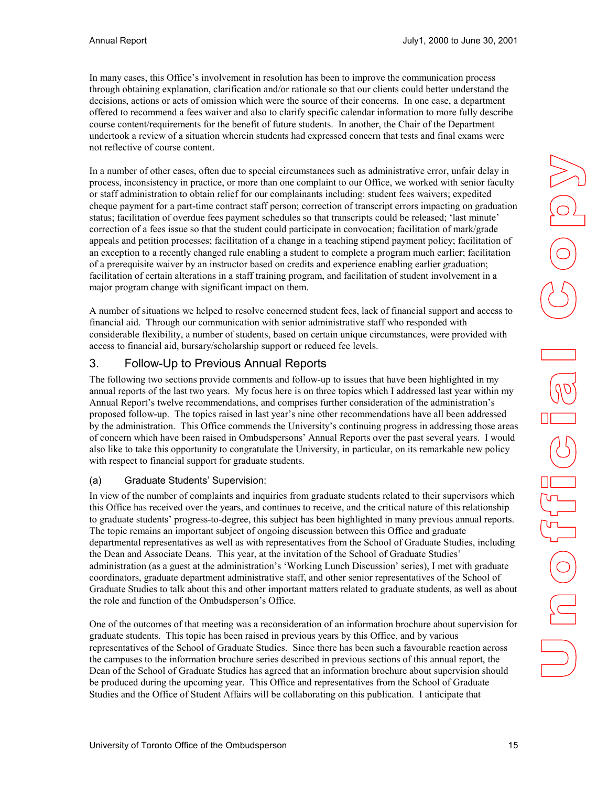<span id="page-14-0"></span>In many cases, this Office's involvement in resolution has been to improve the communication process through obtaining explanation, clarification and/or rationale so that our clients could better understand the decisions, actions or acts of omission which were the source of their concerns. In one case, a department offered to recommend a fees waiver and also to clarify specific calendar information to more fully describe course content/requirements for the benefit of future students. In another, the Chair of the Department undertook a review of a situation wherein students had expressed concern that tests and final exams were not reflective of course content.

In a number of other cases, often due to special circumstances such as administrative error, unfair delay in process, inconsistency in practice, or more than one complaint to our Office, we worked with senior faculty or staff administration to obtain relief for our complainants including: student fees waivers; expedited cheque payment for a part-time contract staff person; correction of transcript errors impacting on graduation status; facilitation of overdue fees payment schedules so that transcripts could be released; 'last minute' correction of a fees issue so that the student could participate in convocation; facilitation of mark/grade appeals and petition processes; facilitation of a change in a teaching stipend payment policy; facilitation of an exception to a recently changed rule enabling a student to complete a program much earlier; facilitation of a prerequisite waiver by an instructor based on credits and experience enabling earlier graduation; facilitation of certain alterations in a staff training program, and facilitation of student involvement in a major program change with significant impact on them.

A number of situations we helped to resolve concerned student fees, lack of financial support and access to financial aid. Through our communication with senior administrative staff who responded with considerable flexibility, a number of students, based on certain unique circumstances, were provided with access to financial aid, bursary/scholarship support or reduced fee levels.

## 3. Follow-Up to Previous Annual Reports

The following two sections provide comments and follow-up to issues that have been highlighted in my annual reports of the last two years. My focus here is on three topics which I addressed last year within my Annual Report's twelve recommendations, and comprises further consideration of the administration's proposed follow-up. The topics raised in last year's nine other recommendations have all been addressed by the administration. This Office commends the University's continuing progress in addressing those areas of concern which have been raised in Ombudspersons' Annual Reports over the past several years. I would also like to take this opportunity to congratulate the University, in particular, on its remarkable new policy with respect to financial support for graduate students.

#### (a) Graduate Students' Supervision:

In view of the number of complaints and inquiries from graduate students related to their supervisors which this Office has received over the years, and continues to receive, and the critical nature of this relationship to graduate students' progress-to-degree, this subject has been highlighted in many previous annual reports. The topic remains an important subject of ongoing discussion between this Office and graduate departmental representatives as well as with representatives from the School of Graduate Studies, including the Dean and Associate Deans. This year, at the invitation of the School of Graduate Studies' administration (as a guest at the administration's 'Working Lunch Discussion' series), I met with graduate coordinators, graduate department administrative staff, and other senior representatives of the School of Graduate Studies to talk about this and other important matters related to graduate students, as well as about the role and function of the Ombudsperson's Office.

One of the outcomes of that meeting was a reconsideration of an information brochure about supervision for graduate students. This topic has been raised in previous years by this Office, and by various representatives of the School of Graduate Studies. Since there has been such a favourable reaction across the campuses to the information brochure series described in previous sections of this annual report, the Dean of the School of Graduate Studies has agreed that an information brochure about supervision should be produced during the upcoming year. This Office and representatives from the School of Graduate Studies and the Office of Student Affairs will be collaborating on this publication. I anticipate that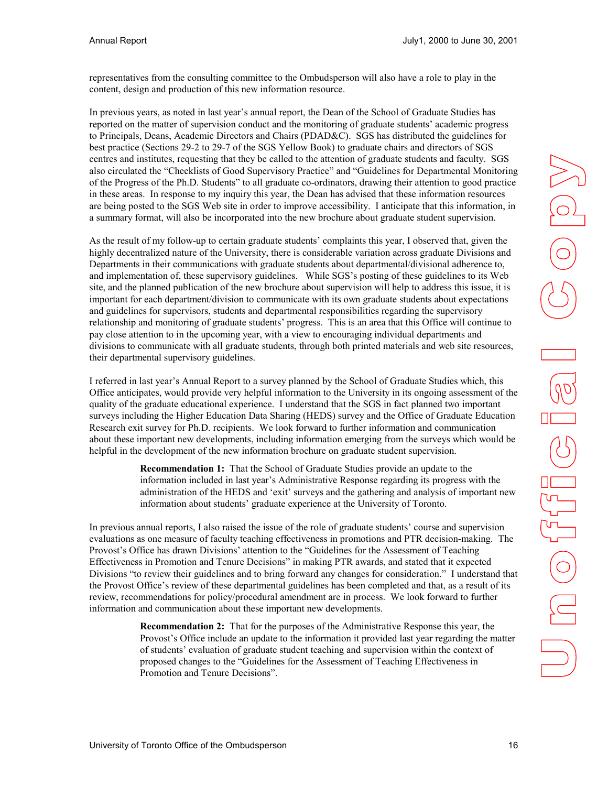representatives from the consulting committee to the Ombudsperson will also have a role to play in the content, design and production of this new information resource.

In previous years, as noted in last year's annual report, the Dean of the School of Graduate Studies has reported on the matter of supervision conduct and the monitoring of graduate students' academic progress to Principals, Deans, Academic Directors and Chairs (PDAD&C). SGS has distributed the guidelines for best practice (Sections 29-2 to 29-7 of the SGS Yellow Book) to graduate chairs and directors of SGS centres and institutes, requesting that they be called to the attention of graduate students and faculty. SGS also circulated the "Checklists of Good Supervisory Practice" and "Guidelines for Departmental Monitoring of the Progress of the Ph.D. Students" to all graduate co-ordinators, drawing their attention to good practice in these areas. In response to my inquiry this year, the Dean has advised that these information resources are being posted to the SGS Web site in order to improve accessibility. I anticipate that this information, in a summary format, will also be incorporated into the new brochure about graduate student supervision.

As the result of my follow-up to certain graduate students' complaints this year, I observed that, given the highly decentralized nature of the University, there is considerable variation across graduate Divisions and Departments in their communications with graduate students about departmental/divisional adherence to, and implementation of, these supervisory guidelines. While SGS's posting of these guidelines to its Web site, and the planned publication of the new brochure about supervision will help to address this issue, it is important for each department/division to communicate with its own graduate students about expectations and guidelines for supervisors, students and departmental responsibilities regarding the supervisory relationship and monitoring of graduate students' progress. This is an area that this Office will continue to pay close attention to in the upcoming year, with a view to encouraging individual departments and divisions to communicate with all graduate students, through both printed materials and web site resources, their departmental supervisory guidelines.

I referred in last year's Annual Report to a survey planned by the School of Graduate Studies which, this Office anticipates, would provide very helpful information to the University in its ongoing assessment of the quality of the graduate educational experience. I understand that the SGS in fact planned two important surveys including the Higher Education Data Sharing (HEDS) survey and the Office of Graduate Education Research exit survey for Ph.D. recipients. We look forward to further information and communication about these important new developments, including information emerging from the surveys which would be helpful in the development of the new information brochure on graduate student supervision.

> **Recommendation 1:** That the School of Graduate Studies provide an update to the information included in last year's Administrative Response regarding its progress with the administration of the HEDS and 'exit' surveys and the gathering and analysis of important new information about students' graduate experience at the University of Toronto.

In previous annual reports, I also raised the issue of the role of graduate students' course and supervision evaluations as one measure of faculty teaching effectiveness in promotions and PTR decision-making. The Provost's Office has drawn Divisions' attention to the "Guidelines for the Assessment of Teaching Effectiveness in Promotion and Tenure Decisions" in making PTR awards, and stated that it expected Divisions "to review their guidelines and to bring forward any changes for consideration." I understand that the Provost Office's review of these departmental guidelines has been completed and that, as a result of its review, recommendations for policy/procedural amendment are in process. We look forward to further information and communication about these important new developments.

> **Recommendation 2:** That for the purposes of the Administrative Response this year, the Provost's Office include an update to the information it provided last year regarding the matter of students' evaluation of graduate student teaching and supervision within the context of proposed changes to the "Guidelines for the Assessment of Teaching Effectiveness in Promotion and Tenure Decisions".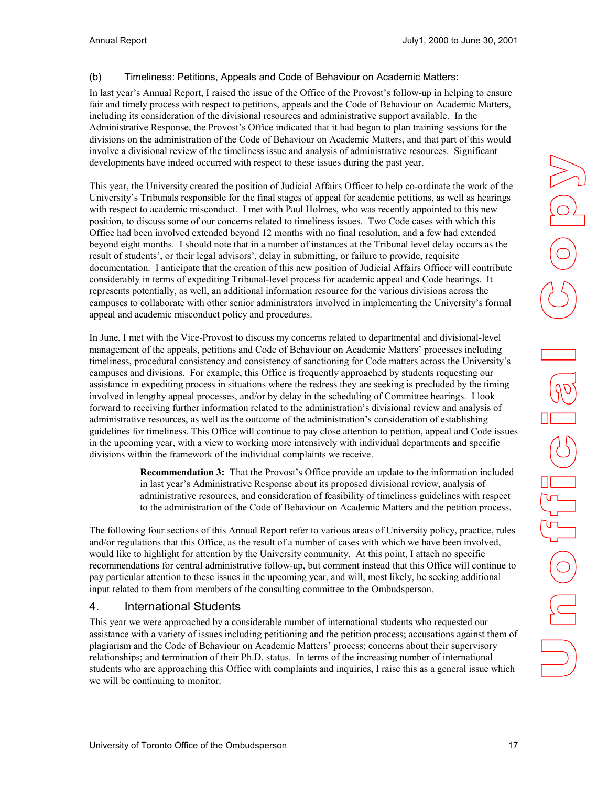#### <span id="page-16-0"></span>(b) Timeliness: Petitions, Appeals and Code of Behaviour on Academic Matters:

In last year's Annual Report, I raised the issue of the Office of the Provost's follow-up in helping to ensure fair and timely process with respect to petitions, appeals and the Code of Behaviour on Academic Matters, including its consideration of the divisional resources and administrative support available. In the Administrative Response, the Provost's Office indicated that it had begun to plan training sessions for the divisions on the administration of the Code of Behaviour on Academic Matters, and that part of this would involve a divisional review of the timeliness issue and analysis of administrative resources. Significant developments have indeed occurred with respect to these issues during the past year.

This year, the University created the position of Judicial Affairs Officer to help co-ordinate the work of the University's Tribunals responsible for the final stages of appeal for academic petitions, as well as hearings with respect to academic misconduct. I met with Paul Holmes, who was recently appointed to this new position, to discuss some of our concerns related to timeliness issues. Two Code cases with which this Office had been involved extended beyond 12 months with no final resolution, and a few had extended beyond eight months. I should note that in a number of instances at the Tribunal level delay occurs as the result of students', or their legal advisors', delay in submitting, or failure to provide, requisite documentation. I anticipate that the creation of this new position of Judicial Affairs Officer will contribute considerably in terms of expediting Tribunal-level process for academic appeal and Code hearings. It represents potentially, as well, an additional information resource for the various divisions across the campuses to collaborate with other senior administrators involved in implementing the University's formal appeal and academic misconduct policy and procedures.

In June, I met with the Vice-Provost to discuss my concerns related to departmental and divisional-level management of the appeals, petitions and Code of Behaviour on Academic Matters' processes including timeliness, procedural consistency and consistency of sanctioning for Code matters across the University's campuses and divisions. For example, this Office is frequently approached by students requesting our assistance in expediting process in situations where the redress they are seeking is precluded by the timing involved in lengthy appeal processes, and/or by delay in the scheduling of Committee hearings. I look forward to receiving further information related to the administration's divisional review and analysis of administrative resources, as well as the outcome of the administration's consideration of establishing guidelines for timeliness. This Office will continue to pay close attention to petition, appeal and Code issues in the upcoming year, with a view to working more intensively with individual departments and specific divisions within the framework of the individual complaints we receive.

> **Recommendation 3:** That the Provost's Office provide an update to the information included in last year's Administrative Response about its proposed divisional review, analysis of administrative resources, and consideration of feasibility of timeliness guidelines with respect to the administration of the Code of Behaviour on Academic Matters and the petition process.

The following four sections of this Annual Report refer to various areas of University policy, practice, rules and/or regulations that this Office, as the result of a number of cases with which we have been involved, would like to highlight for attention by the University community. At this point, I attach no specific recommendations for central administrative follow-up, but comment instead that this Office will continue to pay particular attention to these issues in the upcoming year, and will, most likely, be seeking additional input related to them from members of the consulting committee to the Ombudsperson.

#### 4. International Students

This year we were approached by a considerable number of international students who requested our assistance with a variety of issues including petitioning and the petition process; accusations against them of plagiarism and the Code of Behaviour on Academic Matters' process; concerns about their supervisory relationships; and termination of their Ph.D. status. In terms of the increasing number of international students who are approaching this Office with complaints and inquiries, I raise this as a general issue which we will be continuing to monitor.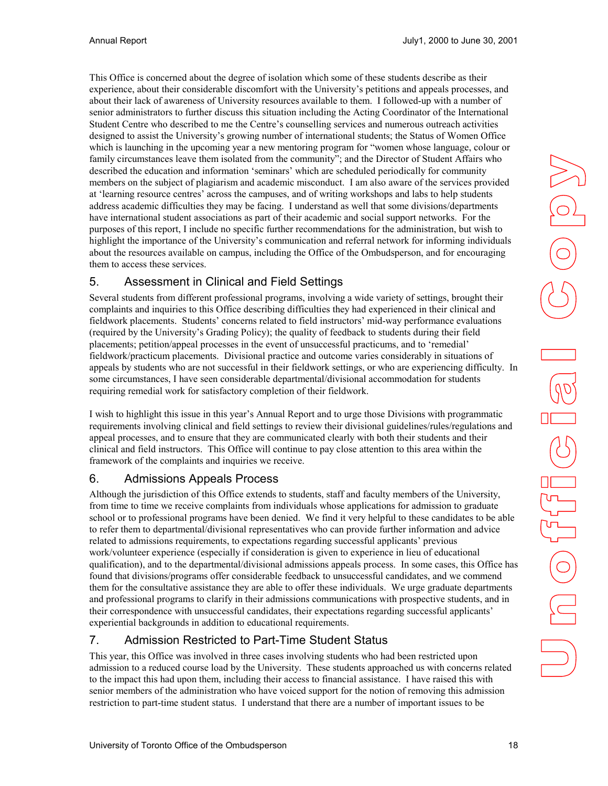<span id="page-17-0"></span>This Office is concerned about the degree of isolation which some of these students describe as their experience, about their considerable discomfort with the University's petitions and appeals processes, and about their lack of awareness of University resources available to them. I followed-up with a number of senior administrators to further discuss this situation including the Acting Coordinator of the International Student Centre who described to me the Centre's counselling services and numerous outreach activities designed to assist the University's growing number of international students; the Status of Women Office which is launching in the upcoming year a new mentoring program for "women whose language, colour or family circumstances leave them isolated from the community"; and the Director of Student Affairs who described the education and information 'seminars' which are scheduled periodically for community members on the subject of plagiarism and academic misconduct. I am also aware of the services provided at 'learning resource centres' across the campuses, and of writing workshops and labs to help students address academic difficulties they may be facing. I understand as well that some divisions/departments have international student associations as part of their academic and social support networks. For the purposes of this report, I include no specific further recommendations for the administration, but wish to highlight the importance of the University's communication and referral network for informing individuals about the resources available on campus, including the Office of the Ombudsperson, and for encouraging them to access these services.

## 5. Assessment in Clinical and Field Settings

Several students from different professional programs, involving a wide variety of settings, brought their complaints and inquiries to this Office describing difficulties they had experienced in their clinical and fieldwork placements. Students' concerns related to field instructors' mid-way performance evaluations (required by the University's Grading Policy); the quality of feedback to students during their field placements; petition/appeal processes in the event of unsuccessful practicums, and to 'remedial' fieldwork/practicum placements. Divisional practice and outcome varies considerably in situations of appeals by students who are not successful in their fieldwork settings, or who are experiencing difficulty. In some circumstances, I have seen considerable departmental/divisional accommodation for students requiring remedial work for satisfactory completion of their fieldwork.

I wish to highlight this issue in this year's Annual Report and to urge those Divisions with programmatic requirements involving clinical and field settings to review their divisional guidelines/rules/regulations and appeal processes, and to ensure that they are communicated clearly with both their students and their clinical and field instructors. This Office will continue to pay close attention to this area within the framework of the complaints and inquiries we receive.

## 6. Admissions Appeals Process

Although the jurisdiction of this Office extends to students, staff and faculty members of the University, from time to time we receive complaints from individuals whose applications for admission to graduate school or to professional programs have been denied. We find it very helpful to these candidates to be able to refer them to departmental/divisional representatives who can provide further information and advice related to admissions requirements, to expectations regarding successful applicants' previous work/volunteer experience (especially if consideration is given to experience in lieu of educational qualification), and to the departmental/divisional admissions appeals process. In some cases, this Office has found that divisions/programs offer considerable feedback to unsuccessful candidates, and we commend them for the consultative assistance they are able to offer these individuals. We urge graduate departments and professional programs to clarify in their admissions communications with prospective students, and in their correspondence with unsuccessful candidates, their expectations regarding successful applicants' experiential backgrounds in addition to educational requirements.

## 7. Admission Restricted to Part-Time Student Status

This year, this Office was involved in three cases involving students who had been restricted upon admission to a reduced course load by the University. These students approached us with concerns related to the impact this had upon them, including their access to financial assistance. I have raised this with senior members of the administration who have voiced support for the notion of removing this admission restriction to part-time student status. I understand that there are a number of important issues to be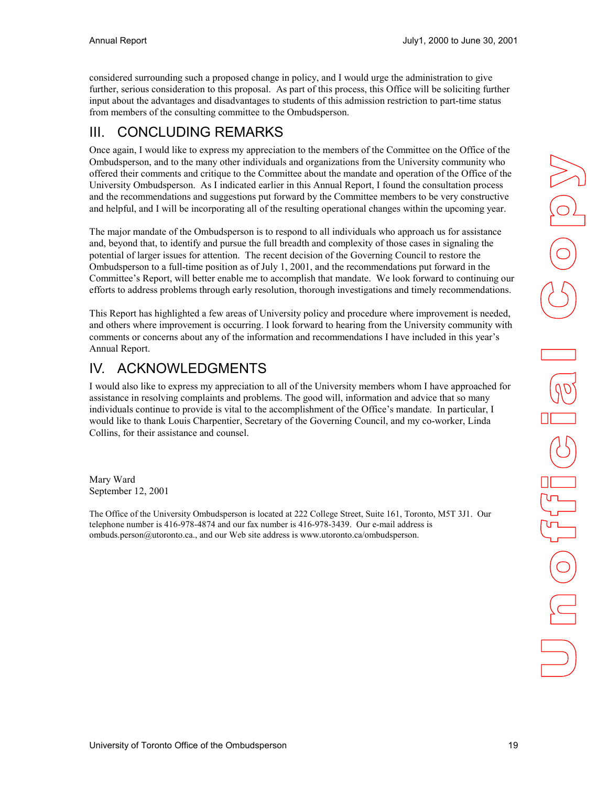<span id="page-18-0"></span>considered surrounding such a proposed change in policy, and I would urge the administration to give further, serious consideration to this proposal. As part of this process, this Office will be soliciting further input about the advantages and disadvantages to students of this admission restriction to part-time status from members of the consulting committee to the Ombudsperson.

# III. CONCLUDING REMARKS

Once again, I would like to express my appreciation to the members of the Committee on the Office of the Ombudsperson, and to the many other individuals and organizations from the University community who offered their comments and critique to the Committee about the mandate and operation of the Office of the University Ombudsperson. As I indicated earlier in this Annual Report, I found the consultation process and the recommendations and suggestions put forward by the Committee members to be very constructive and helpful, and I will be incorporating all of the resulting operational changes within the upcoming year.

The major mandate of the Ombudsperson is to respond to all individuals who approach us for assistance and, beyond that, to identify and pursue the full breadth and complexity of those cases in signaling the potential of larger issues for attention. The recent decision of the Governing Council to restore the Ombudsperson to a full-time position as of July 1, 2001, and the recommendations put forward in the Committee's Report, will better enable me to accomplish that mandate. We look forward to continuing our efforts to address problems through early resolution, thorough investigations and timely recommendations.

This Report has highlighted a few areas of University policy and procedure where improvement is needed, and others where improvement is occurring. I look forward to hearing from the University community with comments or concerns about any of the information and recommendations I have included in this year's Annual Report.

# IV. ACKNOWLEDGMENTS

I would also like to express my appreciation to all of the University members whom I have approached for assistance in resolving complaints and problems. The good will, information and advice that so many individuals continue to provide is vital to the accomplishment of the Office's mandate. In particular, I would like to thank Louis Charpentier, Secretary of the Governing Council, and my co-worker, Linda Collins, for their assistance and counsel.

Mary Ward September 12, 2001

The Office of the University Ombudsperson is located at 222 College Street, Suite 161, Toronto, M5T 3J1. Our telephone number is 416-978-4874 and our fax number is 416-978-3439. Our e-mail address is ombuds.person@utoronto.ca., and our Web site address is www.utoronto.ca/ombudsperson.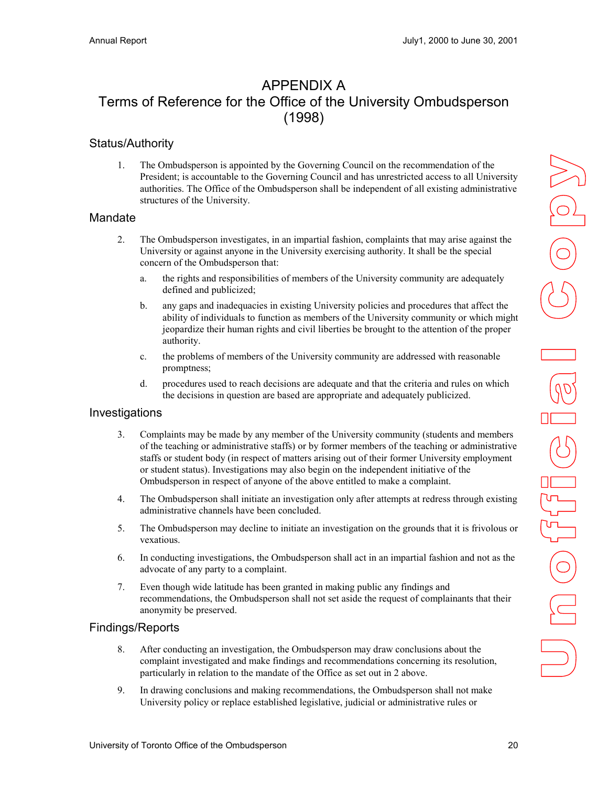## <span id="page-19-0"></span>APPENDIX A Terms of Reference for the Office of the University Ombudsperson (1998)

#### Status/Authority

1. The Ombudsperson is appointed by the Governing Council on the recommendation of the President; is accountable to the Governing Council and has unrestricted access to all University authorities. The Office of the Ombudsperson shall be independent of all existing administrative structures of the University.

#### Mandate

- 2. The Ombudsperson investigates, in an impartial fashion, complaints that may arise against the University or against anyone in the University exercising authority. It shall be the special concern of the Ombudsperson that:
	- a. the rights and responsibilities of members of the University community are adequately defined and publicized;
	- b. any gaps and inadequacies in existing University policies and procedures that affect the ability of individuals to function as members of the University community or which might jeopardize their human rights and civil liberties be brought to the attention of the proper authority.
	- c. the problems of members of the University community are addressed with reasonable promptness;
	- d. procedures used to reach decisions are adequate and that the criteria and rules on which the decisions in question are based are appropriate and adequately publicized.

#### Investigations

- 3. Complaints may be made by any member of the University community (students and members of the teaching or administrative staffs) or by former members of the teaching or administrative staffs or student body (in respect of matters arising out of their former University employment or student status). Investigations may also begin on the independent initiative of the Ombudsperson in respect of anyone of the above entitled to make a complaint.
- 4. The Ombudsperson shall initiate an investigation only after attempts at redress through existing administrative channels have been concluded.
- 5. The Ombudsperson may decline to initiate an investigation on the grounds that it is frivolous or vexatious.
- 6. In conducting investigations, the Ombudsperson shall act in an impartial fashion and not as the advocate of any party to a complaint.
- 7. Even though wide latitude has been granted in making public any findings and recommendations, the Ombudsperson shall not set aside the request of complainants that their anonymity be preserved.

#### Findings/Reports

- 8. After conducting an investigation, the Ombudsperson may draw conclusions about the complaint investigated and make findings and recommendations concerning its resolution, particularly in relation to the mandate of the Office as set out in 2 above.
- 9. In drawing conclusions and making recommendations, the Ombudsperson shall not make University policy or replace established legislative, judicial or administrative rules or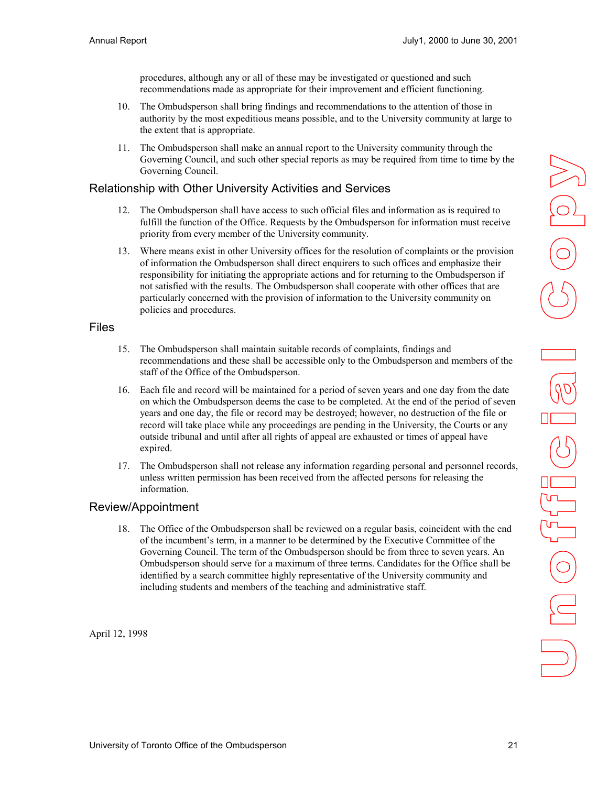procedures, although any or all of these may be investigated or questioned and such recommendations made as appropriate for their improvement and efficient functioning.

- <span id="page-20-0"></span>10. The Ombudsperson shall bring findings and recommendations to the attention of those in authority by the most expeditious means possible, and to the University community at large to the extent that is appropriate.
- 11. The Ombudsperson shall make an annual report to the University community through the Governing Council, and such other special reports as may be required from time to time by the Governing Council.

#### Relationship with Other University Activities and Services

- 12. The Ombudsperson shall have access to such official files and information as is required to fulfill the function of the Office. Requests by the Ombudsperson for information must receive priority from every member of the University community.
- 13. Where means exist in other University offices for the resolution of complaints or the provision of information the Ombudsperson shall direct enquirers to such offices and emphasize their responsibility for initiating the appropriate actions and for returning to the Ombudsperson if not satisfied with the results. The Ombudsperson shall cooperate with other offices that are particularly concerned with the provision of information to the University community on policies and procedures.

#### Files

- 15. The Ombudsperson shall maintain suitable records of complaints, findings and recommendations and these shall be accessible only to the Ombudsperson and members of the staff of the Office of the Ombudsperson.
- 16. Each file and record will be maintained for a period of seven years and one day from the date on which the Ombudsperson deems the case to be completed. At the end of the period of seven years and one day, the file or record may be destroyed; however, no destruction of the file or record will take place while any proceedings are pending in the University, the Courts or any outside tribunal and until after all rights of appeal are exhausted or times of appeal have expired.
- 17. The Ombudsperson shall not release any information regarding personal and personnel records, unless written permission has been received from the affected persons for releasing the information.

#### Review/Appointment

18. The Office of the Ombudsperson shall be reviewed on a regular basis, coincident with the end of the incumbent's term, in a manner to be determined by the Executive Committee of the Governing Council. The term of the Ombudsperson should be from three to seven years. An Ombudsperson should serve for a maximum of three terms. Candidates for the Office shall be identified by a search committee highly representative of the University community and including students and members of the teaching and administrative staff.

April 12, 1998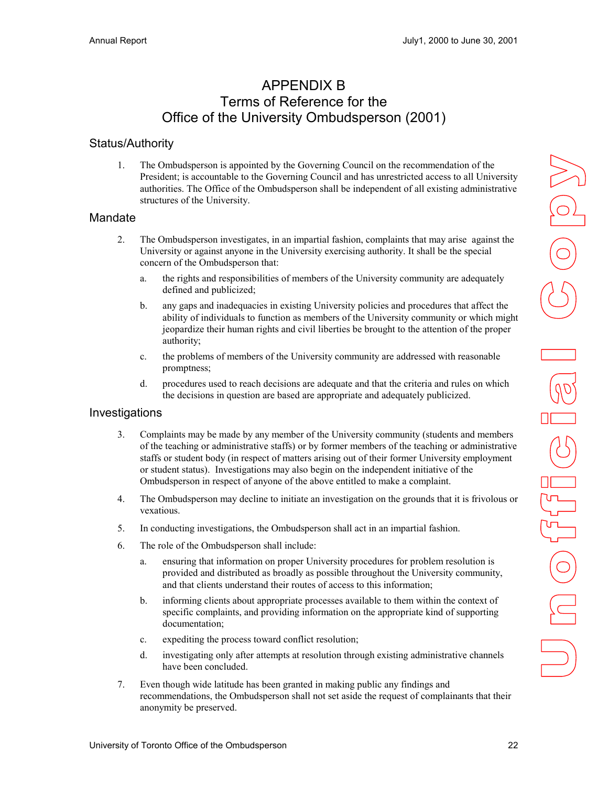## APPENDIX B Terms of Reference for the Office of the University Ombudsperson (2001)

#### <span id="page-21-0"></span>Status/Authority

1. The Ombudsperson is appointed by the Governing Council on the recommendation of the President; is accountable to the Governing Council and has unrestricted access to all University authorities. The Office of the Ombudsperson shall be independent of all existing administrative structures of the University.

#### Mandate

- 2. The Ombudsperson investigates, in an impartial fashion, complaints that may arise against the University or against anyone in the University exercising authority. It shall be the special concern of the Ombudsperson that:
	- a. the rights and responsibilities of members of the University community are adequately defined and publicized;
	- b. any gaps and inadequacies in existing University policies and procedures that affect the ability of individuals to function as members of the University community or which might jeopardize their human rights and civil liberties be brought to the attention of the proper authority;
	- c. the problems of members of the University community are addressed with reasonable promptness;
	- d. procedures used to reach decisions are adequate and that the criteria and rules on which the decisions in question are based are appropriate and adequately publicized.

#### Investigations

- 3. Complaints may be made by any member of the University community (students and members of the teaching or administrative staffs) or by former members of the teaching or administrative staffs or student body (in respect of matters arising out of their former University employment or student status). Investigations may also begin on the independent initiative of the Ombudsperson in respect of anyone of the above entitled to make a complaint.
- 4. The Ombudsperson may decline to initiate an investigation on the grounds that it is frivolous or vexatious.
- 5. In conducting investigations, the Ombudsperson shall act in an impartial fashion.
- 6. The role of the Ombudsperson shall include:
	- a. ensuring that information on proper University procedures for problem resolution is provided and distributed as broadly as possible throughout the University community, and that clients understand their routes of access to this information;
	- b. informing clients about appropriate processes available to them within the context of specific complaints, and providing information on the appropriate kind of supporting documentation;
	- c. expediting the process toward conflict resolution;
	- d. investigating only after attempts at resolution through existing administrative channels have been concluded.
- 7. Even though wide latitude has been granted in making public any findings and recommendations, the Ombudsperson shall not set aside the request of complainants that their anonymity be preserved.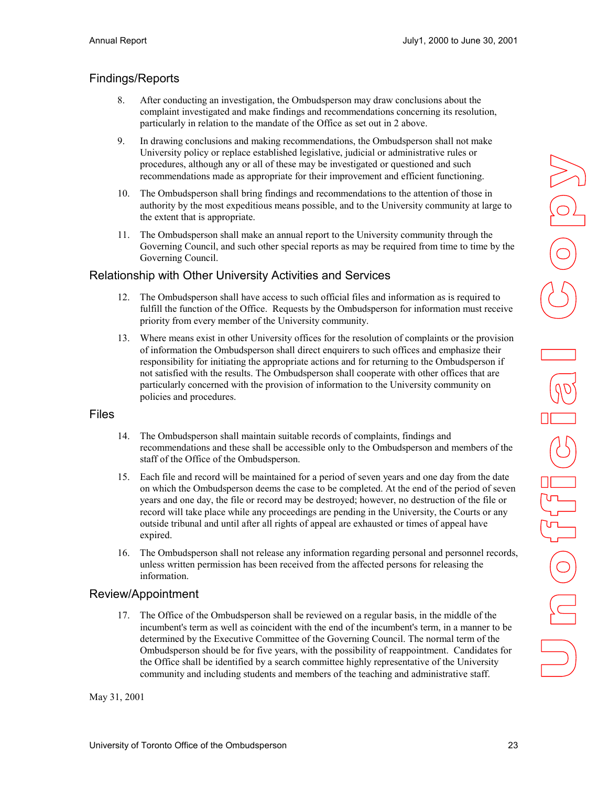## <span id="page-22-0"></span>Findings/Reports

- 8. After conducting an investigation, the Ombudsperson may draw conclusions about the complaint investigated and make findings and recommendations concerning its resolution, particularly in relation to the mandate of the Office as set out in 2 above.
- 9. In drawing conclusions and making recommendations, the Ombudsperson shall not make University policy or replace established legislative, judicial or administrative rules or procedures, although any or all of these may be investigated or questioned and such recommendations made as appropriate for their improvement and efficient functioning.
- 10. The Ombudsperson shall bring findings and recommendations to the attention of those in authority by the most expeditious means possible, and to the University community at large to the extent that is appropriate.
- 11. The Ombudsperson shall make an annual report to the University community through the Governing Council, and such other special reports as may be required from time to time by the Governing Council.

#### Relationship with Other University Activities and Services

- 12. The Ombudsperson shall have access to such official files and information as is required to fulfill the function of the Office. Requests by the Ombudsperson for information must receive priority from every member of the University community.
- 13. Where means exist in other University offices for the resolution of complaints or the provision of information the Ombudsperson shall direct enquirers to such offices and emphasize their responsibility for initiating the appropriate actions and for returning to the Ombudsperson if not satisfied with the results. The Ombudsperson shall cooperate with other offices that are particularly concerned with the provision of information to the University community on policies and procedures.

#### Files

- 14. The Ombudsperson shall maintain suitable records of complaints, findings and recommendations and these shall be accessible only to the Ombudsperson and members of the staff of the Office of the Ombudsperson.
- 15. Each file and record will be maintained for a period of seven years and one day from the date on which the Ombudsperson deems the case to be completed. At the end of the period of seven years and one day, the file or record may be destroyed; however, no destruction of the file or record will take place while any proceedings are pending in the University, the Courts or any outside tribunal and until after all rights of appeal are exhausted or times of appeal have expired.
- 16. The Ombudsperson shall not release any information regarding personal and personnel records, unless written permission has been received from the affected persons for releasing the information.

#### Review/Appointment

17. The Office of the Ombudsperson shall be reviewed on a regular basis, in the middle of the incumbent's term as well as coincident with the end of the incumbent's term, in a manner to be determined by the Executive Committee of the Governing Council. The normal term of the Ombudsperson should be for five years, with the possibility of reappointment. Candidates for the Office shall be identified by a search committee highly representative of the University community and including students and members of the teaching and administrative staff.

May 31, 2001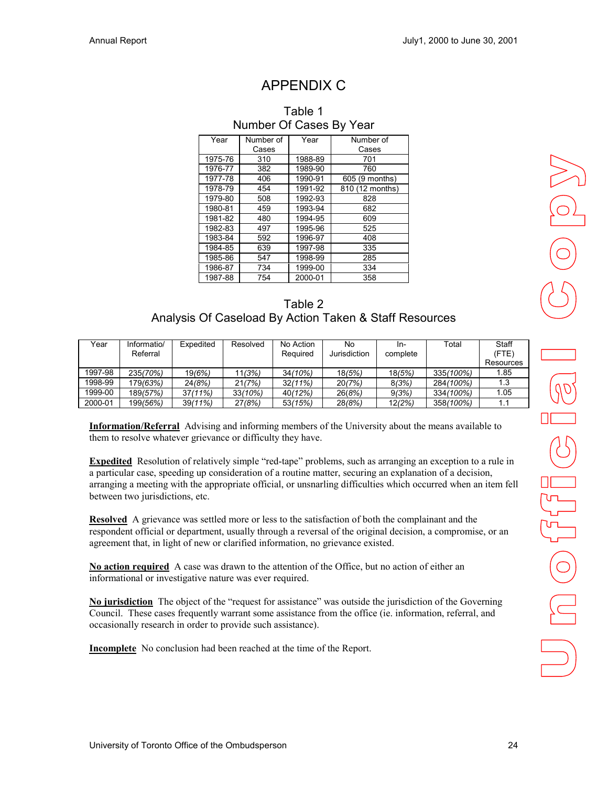# APPENDIX C

<span id="page-23-0"></span>

| Number Of Cases By Year |                                |         |                 |  |  |
|-------------------------|--------------------------------|---------|-----------------|--|--|
| Year                    | Number of<br>Year<br>Number of |         |                 |  |  |
|                         | Cases                          |         | Cases           |  |  |
| 1975-76                 | 310                            | 1988-89 | 701             |  |  |
| 1976-77                 | 382                            | 1989-90 | 760             |  |  |
| 1977-78                 | 406                            | 1990-91 | 605 (9 months)  |  |  |
| 1978-79                 | 454                            | 1991-92 | 810 (12 months) |  |  |
| 1979-80                 | 508                            | 1992-93 | 828             |  |  |
| 1980-81                 | 459                            | 1993-94 | 682             |  |  |
| 1981-82                 | 480                            | 1994-95 | 609             |  |  |
| 1982-83                 | 497                            | 1995-96 | 525             |  |  |
| 1983-84                 | 592                            | 1996-97 | 408             |  |  |
| 1984-85                 | 639                            | 1997-98 | 335             |  |  |
| 1985-86                 | 547                            | 1998-99 | 285             |  |  |
| 1986-87                 | 734                            | 1999-00 | 334             |  |  |
| 1987-88                 | 754                            | 2000-01 | 358             |  |  |

# Table 1

| Table 2                                                |
|--------------------------------------------------------|
| Analysis Of Caseload By Action Taken & Staff Resources |

| Year    | Informatio/ | Expedited  | Resolved | No Action  | No           | In-      | Total     | Staff     |
|---------|-------------|------------|----------|------------|--------------|----------|-----------|-----------|
|         | Referral    |            |          | Required   | Jurisdiction | complete |           | (FTE)     |
|         |             |            |          |            |              |          |           | Resources |
| 1997-98 | 235(70%)    | 19(6%)     | 11(3%)   | 34(10%)    | 18(5%)       | 18(5%)   | 335(100%) | 1.85      |
| 1998-99 | 179(63%)    | 24(8%)     | 21(7%)   | $32(11\%)$ | 20(7%)       | 8(3%)    | 284(100%) | 1.3       |
| 1999-00 | 189(57%)    | 37(11%)    | 33(10%)  | 40(12%)    | 26(8%)       | 9(3%)    | 334(100%) | 1.05      |
| 2000-01 | 199/56%)    | $39(11\%)$ | 27(8%)   | 53(15%)    | 28/8%        | 12(2%)   | 358(100%) | 1.1       |

**Information/Referral** Advising and informing members of the University about the means available to them to resolve whatever grievance or difficulty they have.

**Expedited** Resolution of relatively simple "red-tape" problems, such as arranging an exception to a rule in a particular case, speeding up consideration of a routine matter, securing an explanation of a decision, arranging a meeting with the appropriate official, or unsnarling difficulties which occurred when an item fell between two jurisdictions, etc.

**Resolved** A grievance was settled more or less to the satisfaction of both the complainant and the respondent official or department, usually through a reversal of the original decision, a compromise, or an agreement that, in light of new or clarified information, no grievance existed.

**No action required** A case was drawn to the attention of the Office, but no action of either an informational or investigative nature was ever required.

**No jurisdiction** The object of the "request for assistance" was outside the jurisdiction of the Governing Council. These cases frequently warrant some assistance from the office (ie. information, referral, and occasionally research in order to provide such assistance).

**Incomplete** No conclusion had been reached at the time of the Report.